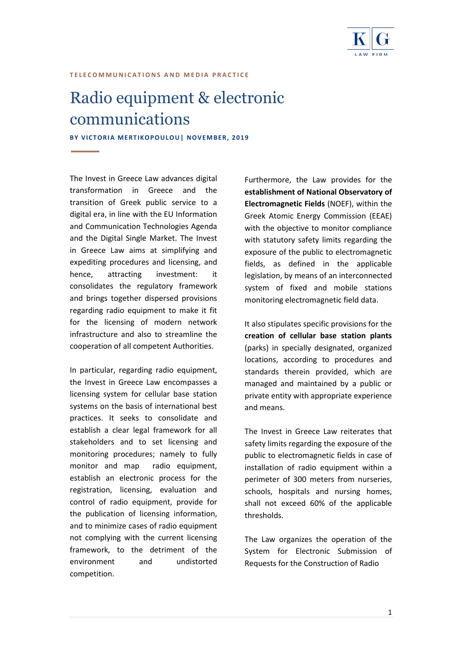

### **T E L E C O M M U N I C A T I O N S A N D M E D I A P R A C T I C E**

# Radio equipment & electronic communications

**BY VICTORIA MERTIKOPOULOU | NOVEMBER, 2019** 

The Invest in Greece Law advances digital transformation in Greece and the transition of Greek public service to a digital era, in line with the EU Information and Communication Technologies Agenda and the Digital Single Market. The Invest in Greece Law aims at simplifying and expediting procedures and licensing, and hence, attracting investment: it consolidates the regulatory framework and brings together dispersed provisions regarding radio equipment to make it fit for the licensing of modern network infrastructure and also to streamline the cooperation of all competent Authorities.

In particular, regarding radio equipment, the Invest in Greece Law encompasses a licensing system for cellular base station systems on the basis of international best practices. It seeks to consolidate and establish a clear legal framework for all stakeholders and to set licensing and monitoring procedures; namely to fully monitor and map radio equipment, establish an electronic process for the registration, licensing, evaluation and control of radio equipment, provide for the publication of licensing information, and to minimize cases of radio equipment not complying with the current licensing framework, to the detriment of the environment and undistorted competition.

Furthermore, the Law provides for the **establishment of National Observatory of Electromagnetic Fields** (NOEF), within the Greek Atomic Energy Commission (EEAE) with the objective to monitor compliance with statutory safety limits regarding the exposure of the public to electromagnetic fields, as defined in the applicable legislation, by means of an interconnected system of fixed and mobile stations monitoring electromagnetic field data.

It also stipulates specific provisions for the **creation of cellular base station plants** (parks) in specially designated, organized locations, according to procedures and standards therein provided, which are managed and maintained by a public or private entity with appropriate experience and means.

The Invest in Greece Law reiterates that safety limits regarding the exposure of the public to electromagnetic fields in case of installation of radio equipment within a perimeter of 300 meters from nurseries, schools, hospitals and nursing homes, shall not exceed 60% of the applicable thresholds.

The Law organizes the operation of the System for Electronic Submission of Requests for the Construction of Radio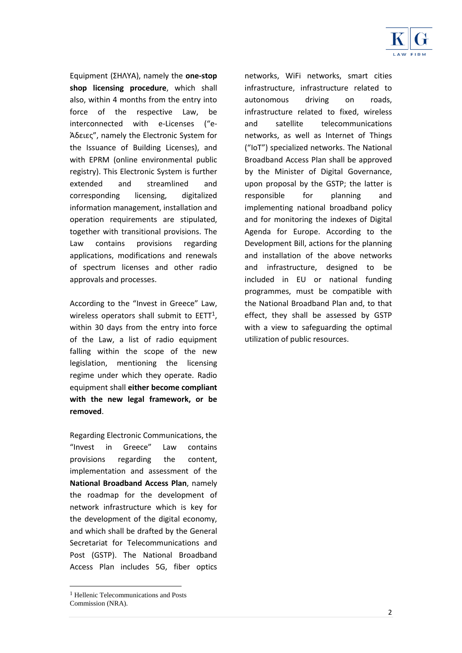

Equipment (ΣΗΛΥΑ), namely the **one-stop shop licensing procedure**, which shall also, within 4 months from the entry into force of the respective Law, be interconnected with e-Licenses ("e-Άδειες", namely the Electronic System for the Issuance of Building Licenses), and with EPRM (online environmental public registry). This Electronic System is further extended and streamlined and corresponding licensing, digitalized information management, installation and operation requirements are stipulated, together with transitional provisions. The Law contains provisions regarding applications, modifications and renewals of spectrum licenses and other radio approvals and processes.

According to the "Invest in Greece" Law, wireless operators shall submit to EETT<sup>1</sup>. within 30 days from the entry into force of the Law, a list of radio equipment falling within the scope of the new legislation, mentioning the licensing regime under which they operate. Radio equipment shall **either become compliant with the new legal framework, or be removed**.

Regarding Electronic Communications, the "Invest in Greece" Law contains provisions regarding the content, implementation and assessment of the **National Broadband Access Plan**, namely the roadmap for the development of network infrastructure which is key for the development of the digital economy, and which shall be drafted by the General Secretariat for Telecommunications and Post (GSTP). The National Broadband Access Plan includes 5G, fiber optics

networks, WiFi networks, smart cities infrastructure, infrastructure related to autonomous driving on roads, infrastructure related to fixed, wireless and satellite telecommunications networks, as well as Internet of Things ("IoT") specialized networks. The National Broadband Access Plan shall be approved by the Minister of Digital Governance, upon proposal by the GSTP; the latter is responsible for planning and implementing national broadband policy and for monitoring the indexes of Digital Agenda for Europe. According to the Development Bill, actions for the planning and installation of the above networks and infrastructure, designed to be included in EU or national funding programmes, must be compatible with the National Broadband Plan and, to that effect, they shall be assessed by GSTP with a view to safeguarding the optimal utilization of public resources.

1

<sup>&</sup>lt;sup>1</sup> Hellenic Telecommunications and Posts Commission (NRA).